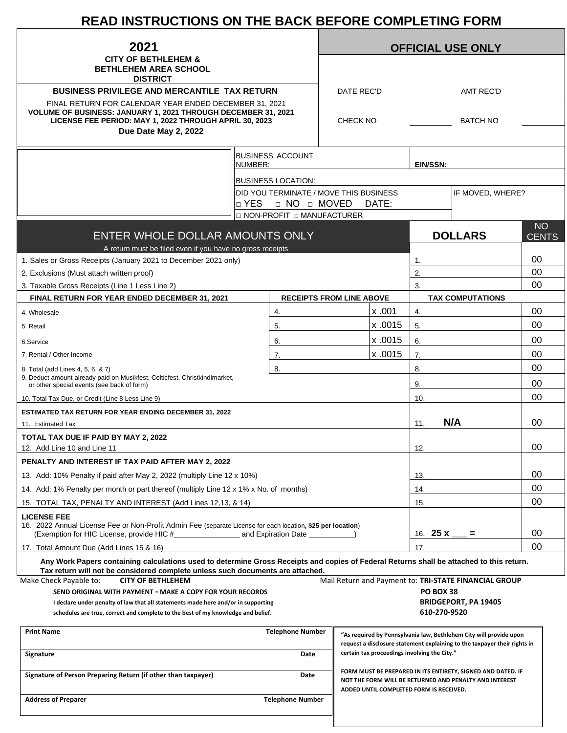# **READ INSTRUCTIONS ON THE BACK BEFORE COMPLETING FORM**

| 2021                                                                                                                                                                                                                       |                                 |                                        | <b>OFFICIAL USE ONLY</b>    |                                                                                                                       |                                              |                                                                           |                           |  |  |
|----------------------------------------------------------------------------------------------------------------------------------------------------------------------------------------------------------------------------|---------------------------------|----------------------------------------|-----------------------------|-----------------------------------------------------------------------------------------------------------------------|----------------------------------------------|---------------------------------------------------------------------------|---------------------------|--|--|
| <b>CITY OF BETHLEHEM &amp;</b><br><b>BETHLEHEM AREA SCHOOL</b>                                                                                                                                                             |                                 |                                        |                             |                                                                                                                       |                                              |                                                                           |                           |  |  |
| <b>DISTRICT</b>                                                                                                                                                                                                            |                                 |                                        |                             |                                                                                                                       |                                              |                                                                           |                           |  |  |
| <b>BUSINESS PRIVILEGE AND MERCANTILE TAX RETURN</b>                                                                                                                                                                        |                                 |                                        | DATE REC'D                  |                                                                                                                       |                                              | <b>AMT REC'D</b>                                                          |                           |  |  |
| FINAL RETURN FOR CALENDAR YEAR ENDED DECEMBER 31, 2021<br>VOLUME OF BUSINESS: JANUARY 1, 2021 THROUGH DECEMBER 31, 2021<br>LICENSE FEE PERIOD: MAY 1, 2022 THROUGH APRIL 30, 2023                                          |                                 |                                        | <b>BATCH NO</b><br>CHECK NO |                                                                                                                       |                                              |                                                                           |                           |  |  |
| Due Date May 2, 2022                                                                                                                                                                                                       |                                 |                                        |                             |                                                                                                                       |                                              |                                                                           |                           |  |  |
|                                                                                                                                                                                                                            |                                 | <b>BUSINESS ACCOUNT</b>                |                             |                                                                                                                       |                                              |                                                                           |                           |  |  |
|                                                                                                                                                                                                                            | NUMBER:                         |                                        |                             |                                                                                                                       |                                              | EIN/SSN:                                                                  |                           |  |  |
|                                                                                                                                                                                                                            |                                 | <b>BUSINESS LOCATION:</b>              |                             |                                                                                                                       |                                              |                                                                           |                           |  |  |
|                                                                                                                                                                                                                            |                                 | DID YOU TERMINATE / MOVE THIS BUSINESS |                             |                                                                                                                       |                                              | IF MOVED, WHERE?                                                          |                           |  |  |
|                                                                                                                                                                                                                            | □ YES<br>D NO D MOVED<br>DATE:  |                                        |                             |                                                                                                                       |                                              |                                                                           |                           |  |  |
|                                                                                                                                                                                                                            |                                 | □ NON-PROFIT □ MANUFACTURER            |                             |                                                                                                                       |                                              |                                                                           |                           |  |  |
| ENTER WHOLE DOLLAR AMOUNTS ONLY                                                                                                                                                                                            |                                 |                                        |                             |                                                                                                                       |                                              | <b>DOLLARS</b>                                                            | <b>NO</b><br><b>CENTS</b> |  |  |
| A return must be filed even if you have no gross receipts<br>1. Sales or Gross Receipts (January 2021 to December 2021 only)                                                                                               |                                 |                                        |                             |                                                                                                                       | 1.                                           |                                                                           | 00                        |  |  |
| 2. Exclusions (Must attach written proof)                                                                                                                                                                                  |                                 |                                        |                             |                                                                                                                       | $\overline{2}$                               |                                                                           | 00                        |  |  |
| 3. Taxable Gross Receipts (Line 1 Less Line 2)                                                                                                                                                                             |                                 |                                        |                             | 00<br>3.                                                                                                              |                                              |                                                                           |                           |  |  |
| FINAL RETURN FOR YEAR ENDED DECEMBER 31, 2021                                                                                                                                                                              | <b>RECEIPTS FROM LINE ABOVE</b> |                                        |                             |                                                                                                                       | <b>TAX COMPUTATIONS</b>                      |                                                                           |                           |  |  |
| 4. Wholesale                                                                                                                                                                                                               |                                 | 4.                                     |                             | x.001                                                                                                                 | 4.                                           |                                                                           | 00                        |  |  |
| 5. Retail                                                                                                                                                                                                                  |                                 | 5.                                     |                             | x.0015                                                                                                                | 5.                                           |                                                                           | 00                        |  |  |
| 6.Service                                                                                                                                                                                                                  |                                 | 6.                                     |                             | x.0015                                                                                                                | 6.                                           |                                                                           | 00                        |  |  |
| 7. Rental / Other Income                                                                                                                                                                                                   |                                 | 7.                                     |                             | x.0015                                                                                                                | 7.                                           |                                                                           | 00                        |  |  |
| 8. Total (add Lines 4, 5, 6, & 7)                                                                                                                                                                                          |                                 | 8.                                     |                             |                                                                                                                       | 8.                                           |                                                                           | 00                        |  |  |
| 9. Deduct amount already paid on Musikfest, Celticfest, Christkindlmarket,<br>or other special events (see back of form)                                                                                                   |                                 |                                        |                             |                                                                                                                       | 9.                                           |                                                                           | 00                        |  |  |
| 10. Total Tax Due, or Credit (Line 8 Less Line 9)                                                                                                                                                                          |                                 |                                        |                             |                                                                                                                       | 10.                                          |                                                                           | 00                        |  |  |
| <b>ESTIMATED TAX RETURN FOR YEAR ENDING DECEMBER 31, 2022</b>                                                                                                                                                              |                                 |                                        |                             |                                                                                                                       |                                              |                                                                           |                           |  |  |
| 11. Estimated Tax                                                                                                                                                                                                          |                                 |                                        |                             |                                                                                                                       | 11.                                          | N/A                                                                       | 00                        |  |  |
| TOTAL TAX DUE IF PAID BY MAY 2, 2022<br>12. Add Line 10 and Line 11                                                                                                                                                        |                                 |                                        |                             |                                                                                                                       | 12.                                          |                                                                           | 00                        |  |  |
| PENALTY AND INTEREST IF TAX PAID AFTER MAY 2, 2022                                                                                                                                                                         |                                 |                                        |                             |                                                                                                                       |                                              |                                                                           |                           |  |  |
| 13. Add: 10% Penalty if paid after May 2, 2022 (multiply Line 12 x 10%)                                                                                                                                                    |                                 |                                        |                             |                                                                                                                       | 13.                                          |                                                                           | 00                        |  |  |
| 14. Add: 1% Penalty per month or part thereof (multiply Line 12 x 1% x No. of months)                                                                                                                                      |                                 |                                        |                             |                                                                                                                       | 14.                                          |                                                                           | 00                        |  |  |
| 15. TOTAL TAX, PENALTY AND INTEREST (Add Lines 12,13, & 14)                                                                                                                                                                |                                 |                                        |                             |                                                                                                                       | 15.                                          |                                                                           | 00                        |  |  |
| <b>LICENSE FEE</b><br>16. 2022 Annual License Fee or Non-Profit Admin Fee (separate License for each location, \$25 per location)                                                                                          |                                 |                                        |                             |                                                                                                                       |                                              |                                                                           |                           |  |  |
|                                                                                                                                                                                                                            |                                 |                                        |                             |                                                                                                                       |                                              |                                                                           | 00                        |  |  |
| 17. Total Amount Due (Add Lines 15 & 16)                                                                                                                                                                                   |                                 |                                        |                             |                                                                                                                       | 17.                                          |                                                                           | 00                        |  |  |
| Any Work Papers containing calculations used to determine Gross Receipts and copies of Federal Returns shall be attached to this return.<br>Tax return will not be considered complete unless such documents are attached. |                                 |                                        |                             |                                                                                                                       |                                              |                                                                           |                           |  |  |
| Make Check Payable to:<br><b>CITY OF BETHLEHEM</b>                                                                                                                                                                         |                                 |                                        |                             |                                                                                                                       |                                              | Mail Return and Payment to: TRI-STATE FINANCIAL GROUP                     |                           |  |  |
| SEND ORIGINAL WITH PAYMENT - MAKE A COPY FOR YOUR RECORDS<br>I declare under penalty of law that all statements made here and/or in supporting                                                                             |                                 |                                        |                             |                                                                                                                       | <b>PO BOX 38</b>                             | <b>BRIDGEPORT, PA 19405</b>                                               |                           |  |  |
| schedules are true, correct and complete to the best of my knowledge and belief.                                                                                                                                           |                                 |                                        |                             |                                                                                                                       | 610-270-9520                                 |                                                                           |                           |  |  |
| <b>Print Name</b>                                                                                                                                                                                                          |                                 | <b>Telephone Number</b>                |                             |                                                                                                                       |                                              | "As required by Pennsylvania law, Bethlehem City will provide upon        |                           |  |  |
| Signature                                                                                                                                                                                                                  |                                 | Date                                   |                             |                                                                                                                       | certain tax proceedings involving the City." | request a disclosure statement explaining to the taxpayer their rights in |                           |  |  |
| Signature of Person Preparing Return (if other than taxpayer)<br>Date                                                                                                                                                      |                                 |                                        |                             | FORM MUST BE PREPARED IN ITS ENTIRETY, SIGNED AND DATED. IF<br>NOT THE FORM WILL BE RETURNED AND PENALTY AND INTEREST |                                              |                                                                           |                           |  |  |
| <b>Address of Preparer</b>                                                                                                                                                                                                 | <b>Telephone Number</b>         |                                        |                             |                                                                                                                       | ADDED UNTIL COMPLETED FORM IS RECEIVED.      |                                                                           |                           |  |  |